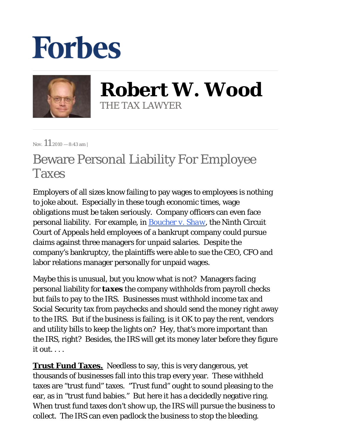## **Forbes**



**Robert W. Wood** THE TAX LAWYER

Nov.  $11_{2010 - 8:43 \text{ am}}$ 

## Beware Personal Liability For Employee Taxes

Employers of all sizes know failing to pay wages to employees is nothing to joke about. Especially in these tough economic times, wage obligations must be taken seriously. Company officers can even face personal liability. For example, in *[Boucher v. Shaw](http://www.ca9.uscourts.gov/opinions/view_subpage.php?pk_id=0000009810)*, the Ninth Circuit Court of Appeals held employees of a bankrupt company could pursue claims against three managers for unpaid salaries. Despite the company's bankruptcy, the plaintiffs were able to sue the CEO, CFO and labor relations manager personally for unpaid wages.

Maybe this is unusual, but you know what is not? Managers facing personal liability for *taxes* the company withholds from payroll checks but fails to pay to the IRS. Businesses must withhold income tax and Social Security tax from paychecks and should send the money right away to the IRS. But if the business is failing, is it OK to pay the rent, vendors and utility bills to keep the lights on? Hey, that's more important than the IRS, right? Besides, the IRS will get its money later before they figure it out. . . .

**Trust Fund Taxes.** Needless to say, this is very dangerous, yet thousands of businesses fall into this trap every year. These withheld taxes are "trust fund" taxes. "Trust fund" ought to sound pleasing to the ear, as in "trust fund babies." But here it has a decidedly negative ring. When trust fund taxes don't show up, the IRS will pursue the business to collect. The IRS can even padlock the business to stop the bleeding.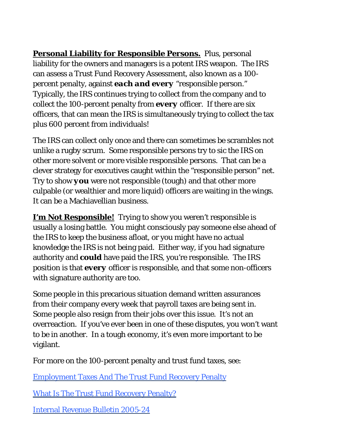**Personal Liability for Responsible Persons.** Plus, personal liability for the owners and managers is a potent IRS weapon. The IRS can assess a Trust Fund Recovery Assessment, also known as a 100 percent penalty, against *each and every* "responsible person." Typically, the IRS continues trying to collect from the company and to collect the 100-percent penalty from *every* officer. If there are six officers, that can mean the IRS is simultaneously trying to collect the tax plus 600 percent from individuals!

The IRS can collect only once and there can sometimes be scrambles not unlike a rugby scrum. Some responsible persons try to sic the IRS on other more solvent or more visible responsible persons. That can be a clever strategy for executives caught within the "responsible person" net. Try to show *you* were not responsible (tough) and that other more culpable (or wealthier and more liquid) officers are waiting in the wings. It can be a Machiavellian business.

**I'm Not Responsible!** Trying to show you weren't responsible is usually a losing battle. You might consciously pay someone else ahead of the IRS to keep the business afloat, or you might have no actual knowledge the IRS is not being paid. Either way, if you had signature authority and *could* have paid the IRS, you're responsible. The IRS position is that *every* officer is responsible, and that some non-officers with signature authority are too.

Some people in this precarious situation demand written assurances from their company every week that payroll taxes are being sent in. Some people also resign from their jobs over this issue. It's not an overreaction. If you've ever been in one of these disputes, you won't want to be in another. In a tough economy, it's even more important to be vigilant.

For more on the 100-percent penalty and trust fund taxes, see:

[Employment Taxes And The Trust Fund Recovery Penalty](http://www.irs.gov/businesses/small/article/0,,id=108357,00.html) 

[What Is The Trust Fund Recovery Penalty?](http://www.irs.gov/govt/tribes/article/0,,id=180669,00.html)

[Internal Revenue Bulletin 2005-24](http://www.irs.gov/irb/2005-24_IRB/ar13.html)